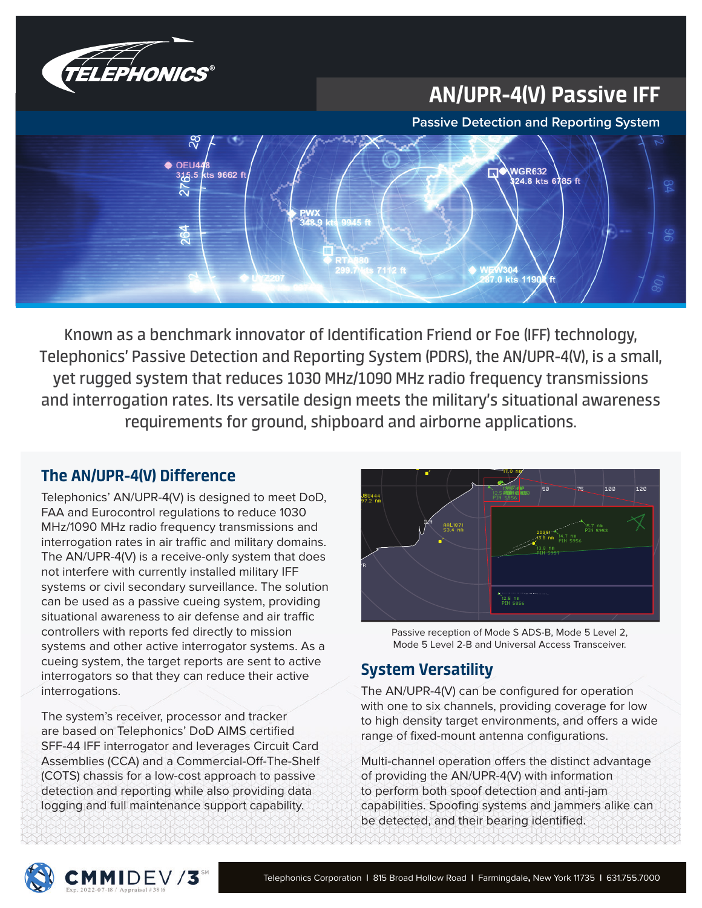

# AN/UPR-4(V) Passive IFF

**Passive Detection and Reporting System**



Known as a benchmark innovator of Identification Friend or Foe (IFF) technology, Telephonics' Passive Detection and Reporting System (PDRS), the AN/UPR-4(V), is a small, yet rugged system that reduces 1030 MHz/1090 MHz radio frequency transmissions and interrogation rates. Its versatile design meets the military's situational awareness requirements for ground, shipboard and airborne applications.  $\overline{\phantom{a}}$ 

## The AN/UPR-4(V) Difference

Telephonics' AN/UPR-4(V) is designed to meet DoD, FAA and Eurocontrol regulations to reduce 1030 MHz/1090 MHz radio frequency transmissions and interrogation rates in air traffic and military domains. The AN/UPR-4(V) is a receive-only system that does not interfere with currently installed military IFF systems or civil secondary surveillance. The solution can be used as a passive cueing system, providing situational awareness to air defense and air traffic controllers with reports fed directly to mission systems and other active interrogator systems. As a cueing system, the target reports are sent to active interrogators so that they can reduce their active interrogations.

The system's receiver, processor and tracker are based on Telephonics' DoD AIMS certified SFF-44 IFF interrogator and leverages Circuit Card Assemblies (CCA) and a Commercial-Off-The-Shelf (COTS) chassis for a low-cost approach to passive detection and reporting while also providing data logging and full maintenance support capability.

**CMMIDEV/3** 



Passive reception of Mode S ADS-B, Mode 5 Level 2, Mode 5 Level 2-B and Universal Access Transceiver.

## System Versatility

The AN/UPR-4(V) can be configured for operation with one to six channels, providing coverage for low to high density target environments, and offers a wide range of fixed-mount antenna configurations.

Multi-channel operation offers the distinct advantage of providing the AN/UPR-4(V) with information to perform both spoof detection and anti-jam capabilities. Spoofing systems and jammers alike can be detected, and their bearing identified.